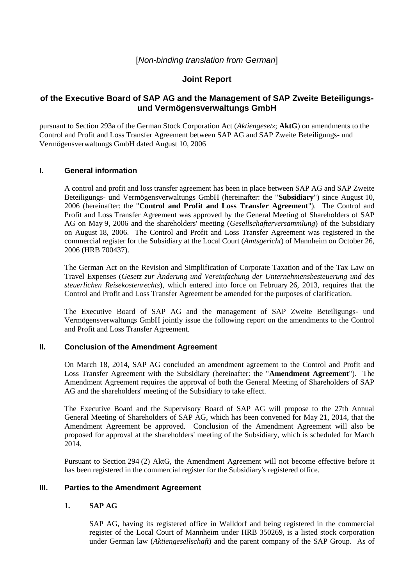# [*Non-binding translation from German*]

# **Joint Report**

# **of the Executive Board of SAP AG and the Management of SAP Zweite Beteiligungsund Vermögensverwaltungs GmbH**

pursuant to Section 293a of the German Stock Corporation Act (*Aktiengesetz*; **AktG**) on amendments to the Control and Profit and Loss Transfer Agreement between SAP AG and SAP Zweite Beteiligungs- und Vermögensverwaltungs GmbH dated August 10, 2006

## **I. General information**

A control and profit and loss transfer agreement has been in place between SAP AG and SAP Zweite Beteiligungs- und Vermögensverwaltungs GmbH (hereinafter: the "**Subsidiary**") since August 10, 2006 (hereinafter: the "**Control and Profit and Loss Transfer Agreement**"). The Control and Profit and Loss Transfer Agreement was approved by the General Meeting of Shareholders of SAP AG on May 9, 2006 and the shareholders' meeting (*Gesellschafterversammlung*) of the Subsidiary on August 18, 2006. The Control and Profit and Loss Transfer Agreement was registered in the commercial register for the Subsidiary at the Local Court (*Amtsgericht*) of Mannheim on October 26, 2006 (HRB 700437).

The German Act on the Revision and Simplification of Corporate Taxation and of the Tax Law on Travel Expenses (*Gesetz zur Änderung und Vereinfachung der Unternehmensbesteuerung und des steuerlichen Reisekostenrechts*), which entered into force on February 26, 2013, requires that the Control and Profit and Loss Transfer Agreement be amended for the purposes of clarification.

The Executive Board of SAP AG and the management of SAP Zweite Beteiligungs- und Vermögensverwaltungs GmbH jointly issue the following report on the amendments to the Control and Profit and Loss Transfer Agreement.

## **II. Conclusion of the Amendment Agreement**

On March 18, 2014, SAP AG concluded an amendment agreement to the Control and Profit and Loss Transfer Agreement with the Subsidiary (hereinafter: the "**Amendment Agreement**"). The Amendment Agreement requires the approval of both the General Meeting of Shareholders of SAP AG and the shareholders' meeting of the Subsidiary to take effect.

The Executive Board and the Supervisory Board of SAP AG will propose to the 27th Annual General Meeting of Shareholders of SAP AG, which has been convened for May 21, 2014, that the Amendment Agreement be approved. Conclusion of the Amendment Agreement will also be proposed for approval at the shareholders' meeting of the Subsidiary, which is scheduled for March 2014.

Pursuant to Section 294 (2) AktG, the Amendment Agreement will not become effective before it has been registered in the commercial register for the Subsidiary's registered office.

## **III. Parties to the Amendment Agreement**

## **1. SAP AG**

SAP AG, having its registered office in Walldorf and being registered in the commercial register of the Local Court of Mannheim under HRB 350269, is a listed stock corporation under German law (*Aktiengesellschaft*) and the parent company of the SAP Group. As of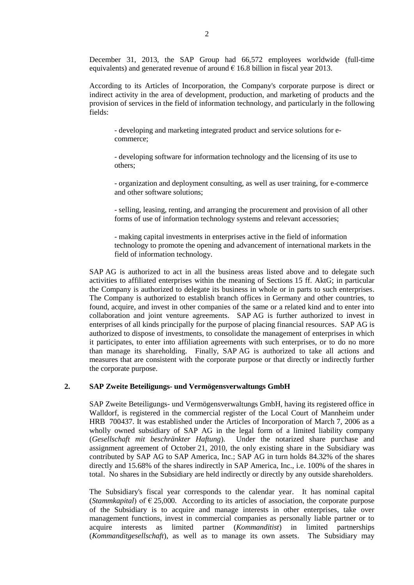December 31, 2013, the SAP Group had 66,572 employees worldwide (full-time equivalents) and generated revenue of around  $\epsilon$  16.8 billion in fiscal year 2013.

According to its Articles of Incorporation, the Company's corporate purpose is direct or indirect activity in the area of development, production, and marketing of products and the provision of services in the field of information technology, and particularly in the following fields:

- developing and marketing integrated product and service solutions for ecommerce;

- developing software for information technology and the licensing of its use to others;

- organization and deployment consulting, as well as user training, for e-commerce and other software solutions;

- selling, leasing, renting, and arranging the procurement and provision of all other forms of use of information technology systems and relevant accessories;

- making capital investments in enterprises active in the field of information technology to promote the opening and advancement of international markets in the field of information technology.

SAP AG is authorized to act in all the business areas listed above and to delegate such activities to affiliated enterprises within the meaning of Sections 15 ff. AktG; in particular the Company is authorized to delegate its business in whole or in parts to such enterprises. The Company is authorized to establish branch offices in Germany and other countries, to found, acquire, and invest in other companies of the same or a related kind and to enter into collaboration and joint venture agreements. SAP AG is further authorized to invest in enterprises of all kinds principally for the purpose of placing financial resources. SAP AG is authorized to dispose of investments, to consolidate the management of enterprises in which it participates, to enter into affiliation agreements with such enterprises, or to do no more than manage its shareholding. Finally, SAP AG is authorized to take all actions and measures that are consistent with the corporate purpose or that directly or indirectly further the corporate purpose.

#### **2. SAP Zweite Beteiligungs- und Vermögensverwaltungs GmbH**

SAP Zweite Beteiligungs- und Vermögensverwaltungs GmbH, having its registered office in Walldorf, is registered in the commercial register of the Local Court of Mannheim under HRB 700437. It was established under the Articles of Incorporation of March 7, 2006 as a wholly owned subsidiary of SAP AG in the legal form of a limited liability company (*Gesellschaft mit beschränkter Haftung*). Under the notarized share purchase and assignment agreement of October 21, 2010, the only existing share in the Subsidiary was contributed by SAP AG to SAP America, Inc.; SAP AG in turn holds 84.32% of the shares directly and 15.68% of the shares indirectly in SAP America, Inc., i.e. 100% of the shares in total. No shares in the Subsidiary are held indirectly or directly by any outside shareholders.

The Subsidiary's fiscal year corresponds to the calendar year. It has nominal capital (*Stammkapital*) of  $\epsilon$  25,000. According to its articles of association, the corporate purpose of the Subsidiary is to acquire and manage interests in other enterprises, take over management functions, invest in commercial companies as personally liable partner or to acquire interests as limited partner (*Kommanditist*) in limited partnerships (*Kommanditgesellschaft*), as well as to manage its own assets. The Subsidiary may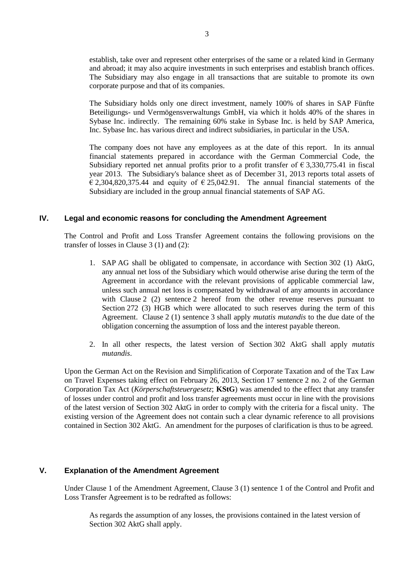establish, take over and represent other enterprises of the same or a related kind in Germany and abroad; it may also acquire investments in such enterprises and establish branch offices. The Subsidiary may also engage in all transactions that are suitable to promote its own corporate purpose and that of its companies.

The Subsidiary holds only one direct investment, namely 100% of shares in SAP Fünfte Beteiligungs- und Vermögensverwaltungs GmbH, via which it holds 40% of the shares in Sybase Inc. indirectly. The remaining 60% stake in Sybase Inc. is held by SAP America, Inc. Sybase Inc. has various direct and indirect subsidiaries, in particular in the USA.

The company does not have any employees as at the date of this report. In its annual financial statements prepared in accordance with the German Commercial Code, the Subsidiary reported net annual profits prior to a profit transfer of  $\epsilon$  3,330,775.41 in fiscal year 2013. The Subsidiary's balance sheet as of December 31, 2013 reports total assets of  $\epsilon$  2,304,820,375.44 and equity of  $\epsilon$  25,042.91. The annual financial statements of the Subsidiary are included in the group annual financial statements of SAP AG.

## **IV. Legal and economic reasons for concluding the Amendment Agreement**

The Control and Profit and Loss Transfer Agreement contains the following provisions on the transfer of losses in Clause 3 (1) and (2):

- 1. SAP AG shall be obligated to compensate, in accordance with Section 302 (1) AktG, any annual net loss of the Subsidiary which would otherwise arise during the term of the Agreement in accordance with the relevant provisions of applicable commercial law, unless such annual net loss is compensated by withdrawal of any amounts in accordance with Clause 2 (2) sentence 2 hereof from the other revenue reserves pursuant to Section 272 (3) HGB which were allocated to such reserves during the term of this Agreement. Clause 2 (1) sentence 3 shall apply *mutatis mutandis* to the due date of the obligation concerning the assumption of loss and the interest payable thereon.
- 2. In all other respects, the latest version of Section 302 AktG shall apply *mutatis mutandis*.

Upon the German Act on the Revision and Simplification of Corporate Taxation and of the Tax Law on Travel Expenses taking effect on February 26, 2013, Section 17 sentence 2 no. 2 of the German Corporation Tax Act (*Körperschaftsteuergesetz*; **KStG**) was amended to the effect that any transfer of losses under control and profit and loss transfer agreements must occur in line with the provisions of the latest version of Section 302 AktG in order to comply with the criteria for a fiscal unity. The existing version of the Agreement does not contain such a clear dynamic reference to all provisions contained in Section 302 AktG. An amendment for the purposes of clarification is thus to be agreed.

#### **V. Explanation of the Amendment Agreement**

Under Clause 1 of the Amendment Agreement, Clause 3 (1) sentence 1 of the Control and Profit and Loss Transfer Agreement is to be redrafted as follows:

As regards the assumption of any losses, the provisions contained in the latest version of Section 302 AktG shall apply.